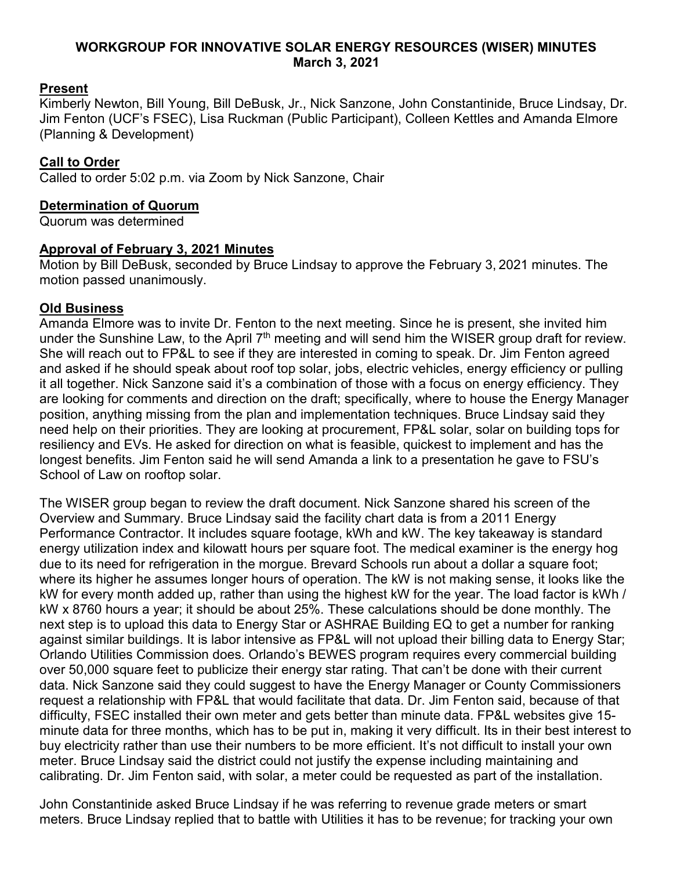## **WORKGROUP FOR INNOVATIVE SOLAR ENERGY RESOURCES (WISER) MINUTES March 3, 2021**

# **Present**

Kimberly Newton, Bill Young, Bill DeBusk, Jr., Nick Sanzone, John Constantinide, Bruce Lindsay, Dr. Jim Fenton (UCF's FSEC), Lisa Ruckman (Public Participant), Colleen Kettles and Amanda Elmore (Planning & Development)

# **Call to Order**

Called to order 5:02 p.m. via Zoom by Nick Sanzone, Chair

## **Determination of Quorum**

Quorum was determined

# **Approval of February 3, 2021 Minutes**

Motion by Bill DeBusk, seconded by Bruce Lindsay to approve the February 3, 2021 minutes. The motion passed unanimously.

## **Old Business**

Amanda Elmore was to invite Dr. Fenton to the next meeting. Since he is present, she invited him under the Sunshine Law, to the April  $7<sup>th</sup>$  meeting and will send him the WISER group draft for review. She will reach out to FP&L to see if they are interested in coming to speak. Dr. Jim Fenton agreed and asked if he should speak about roof top solar, jobs, electric vehicles, energy efficiency or pulling it all together. Nick Sanzone said it's a combination of those with a focus on energy efficiency. They are looking for comments and direction on the draft; specifically, where to house the Energy Manager position, anything missing from the plan and implementation techniques. Bruce Lindsay said they need help on their priorities. They are looking at procurement, FP&L solar, solar on building tops for resiliency and EVs. He asked for direction on what is feasible, quickest to implement and has the longest benefits. Jim Fenton said he will send Amanda a link to a presentation he gave to FSU's School of Law on rooftop solar.

The WISER group began to review the draft document. Nick Sanzone shared his screen of the Overview and Summary. Bruce Lindsay said the facility chart data is from a 2011 Energy Performance Contractor. It includes square footage, kWh and kW. The key takeaway is standard energy utilization index and kilowatt hours per square foot. The medical examiner is the energy hog due to its need for refrigeration in the morgue. Brevard Schools run about a dollar a square foot; where its higher he assumes longer hours of operation. The kW is not making sense, it looks like the kW for every month added up, rather than using the highest kW for the year. The load factor is kWh / kW x 8760 hours a year; it should be about 25%. These calculations should be done monthly. The next step is to upload this data to Energy Star or ASHRAE Building EQ to get a number for ranking against similar buildings. It is labor intensive as FP&L will not upload their billing data to Energy Star; Orlando Utilities Commission does. Orlando's BEWES program requires every commercial building over 50,000 square feet to publicize their energy star rating. That can't be done with their current data. Nick Sanzone said they could suggest to have the Energy Manager or County Commissioners request a relationship with FP&L that would facilitate that data. Dr. Jim Fenton said, because of that difficulty, FSEC installed their own meter and gets better than minute data. FP&L websites give 15 minute data for three months, which has to be put in, making it very difficult. Its in their best interest to buy electricity rather than use their numbers to be more efficient. It's not difficult to install your own meter. Bruce Lindsay said the district could not justify the expense including maintaining and calibrating. Dr. Jim Fenton said, with solar, a meter could be requested as part of the installation.

John Constantinide asked Bruce Lindsay if he was referring to revenue grade meters or smart meters. Bruce Lindsay replied that to battle with Utilities it has to be revenue; for tracking your own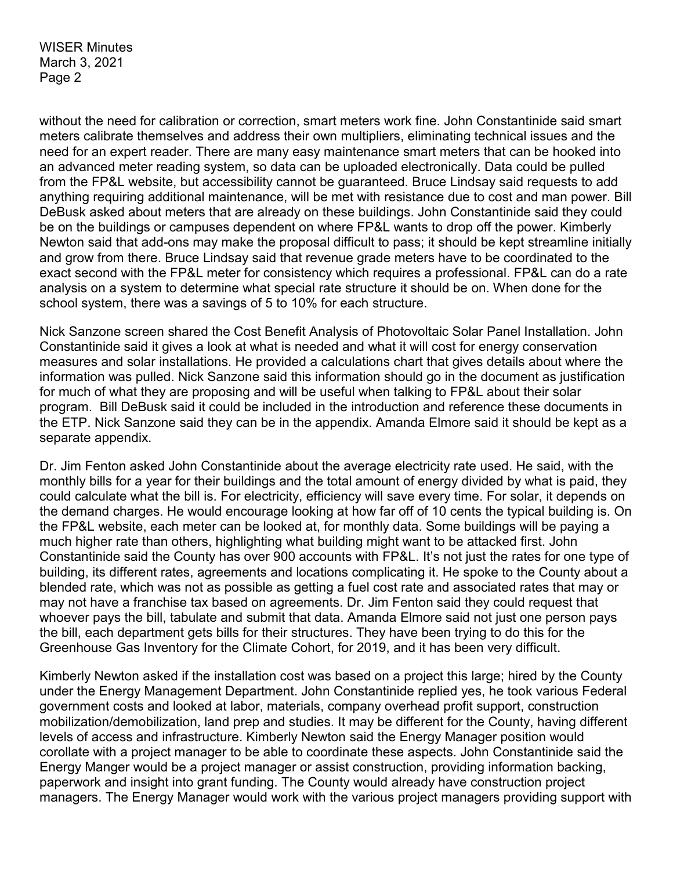without the need for calibration or correction, smart meters work fine. John Constantinide said smart meters calibrate themselves and address their own multipliers, eliminating technical issues and the need for an expert reader. There are many easy maintenance smart meters that can be hooked into an advanced meter reading system, so data can be uploaded electronically. Data could be pulled from the FP&L website, but accessibility cannot be guaranteed. Bruce Lindsay said requests to add anything requiring additional maintenance, will be met with resistance due to cost and man power. Bill DeBusk asked about meters that are already on these buildings. John Constantinide said they could be on the buildings or campuses dependent on where FP&L wants to drop off the power. Kimberly Newton said that add-ons may make the proposal difficult to pass; it should be kept streamline initially and grow from there. Bruce Lindsay said that revenue grade meters have to be coordinated to the exact second with the FP&L meter for consistency which requires a professional. FP&L can do a rate analysis on a system to determine what special rate structure it should be on. When done for the school system, there was a savings of 5 to 10% for each structure.

Nick Sanzone screen shared the Cost Benefit Analysis of Photovoltaic Solar Panel Installation. John Constantinide said it gives a look at what is needed and what it will cost for energy conservation measures and solar installations. He provided a calculations chart that gives details about where the information was pulled. Nick Sanzone said this information should go in the document as justification for much of what they are proposing and will be useful when talking to FP&L about their solar program. Bill DeBusk said it could be included in the introduction and reference these documents in the ETP. Nick Sanzone said they can be in the appendix. Amanda Elmore said it should be kept as a separate appendix.

Dr. Jim Fenton asked John Constantinide about the average electricity rate used. He said, with the monthly bills for a year for their buildings and the total amount of energy divided by what is paid, they could calculate what the bill is. For electricity, efficiency will save every time. For solar, it depends on the demand charges. He would encourage looking at how far off of 10 cents the typical building is. On the FP&L website, each meter can be looked at, for monthly data. Some buildings will be paying a much higher rate than others, highlighting what building might want to be attacked first. John Constantinide said the County has over 900 accounts with FP&L. It's not just the rates for one type of building, its different rates, agreements and locations complicating it. He spoke to the County about a blended rate, which was not as possible as getting a fuel cost rate and associated rates that may or may not have a franchise tax based on agreements. Dr. Jim Fenton said they could request that whoever pays the bill, tabulate and submit that data. Amanda Elmore said not just one person pays the bill, each department gets bills for their structures. They have been trying to do this for the Greenhouse Gas Inventory for the Climate Cohort, for 2019, and it has been very difficult.

Kimberly Newton asked if the installation cost was based on a project this large; hired by the County under the Energy Management Department. John Constantinide replied yes, he took various Federal government costs and looked at labor, materials, company overhead profit support, construction mobilization/demobilization, land prep and studies. It may be different for the County, having different levels of access and infrastructure. Kimberly Newton said the Energy Manager position would corollate with a project manager to be able to coordinate these aspects. John Constantinide said the Energy Manger would be a project manager or assist construction, providing information backing, paperwork and insight into grant funding. The County would already have construction project managers. The Energy Manager would work with the various project managers providing support with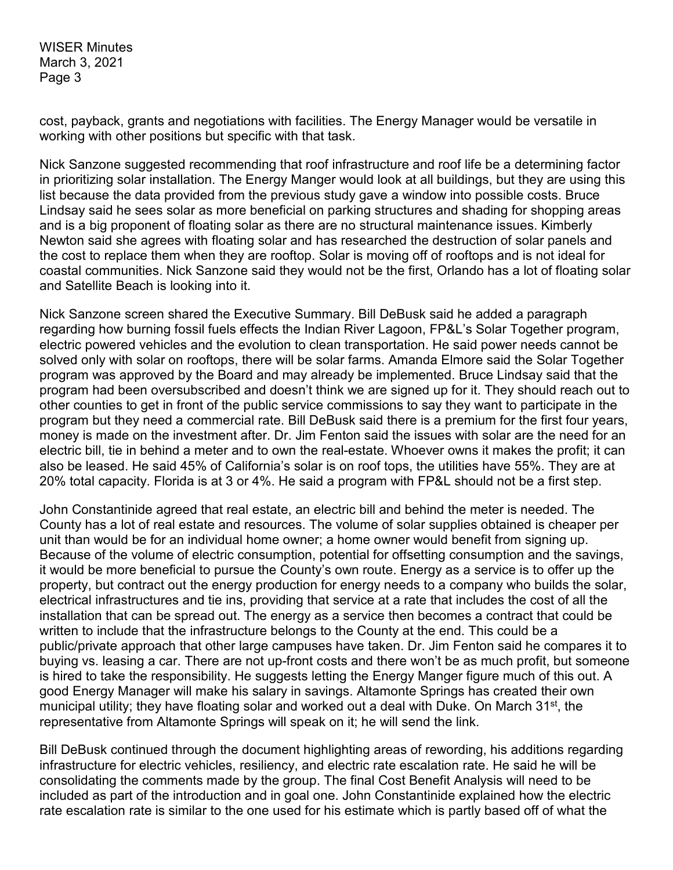cost, payback, grants and negotiations with facilities. The Energy Manager would be versatile in working with other positions but specific with that task.

Nick Sanzone suggested recommending that roof infrastructure and roof life be a determining factor in prioritizing solar installation. The Energy Manger would look at all buildings, but they are using this list because the data provided from the previous study gave a window into possible costs. Bruce Lindsay said he sees solar as more beneficial on parking structures and shading for shopping areas and is a big proponent of floating solar as there are no structural maintenance issues. Kimberly Newton said she agrees with floating solar and has researched the destruction of solar panels and the cost to replace them when they are rooftop. Solar is moving off of rooftops and is not ideal for coastal communities. Nick Sanzone said they would not be the first, Orlando has a lot of floating solar and Satellite Beach is looking into it.

Nick Sanzone screen shared the Executive Summary. Bill DeBusk said he added a paragraph regarding how burning fossil fuels effects the Indian River Lagoon, FP&L's Solar Together program, electric powered vehicles and the evolution to clean transportation. He said power needs cannot be solved only with solar on rooftops, there will be solar farms. Amanda Elmore said the Solar Together program was approved by the Board and may already be implemented. Bruce Lindsay said that the program had been oversubscribed and doesn't think we are signed up for it. They should reach out to other counties to get in front of the public service commissions to say they want to participate in the program but they need a commercial rate. Bill DeBusk said there is a premium for the first four years, money is made on the investment after. Dr. Jim Fenton said the issues with solar are the need for an electric bill, tie in behind a meter and to own the real-estate. Whoever owns it makes the profit; it can also be leased. He said 45% of California's solar is on roof tops, the utilities have 55%. They are at 20% total capacity. Florida is at 3 or 4%. He said a program with FP&L should not be a first step.

John Constantinide agreed that real estate, an electric bill and behind the meter is needed. The County has a lot of real estate and resources. The volume of solar supplies obtained is cheaper per unit than would be for an individual home owner; a home owner would benefit from signing up. Because of the volume of electric consumption, potential for offsetting consumption and the savings, it would be more beneficial to pursue the County's own route. Energy as a service is to offer up the property, but contract out the energy production for energy needs to a company who builds the solar, electrical infrastructures and tie ins, providing that service at a rate that includes the cost of all the installation that can be spread out. The energy as a service then becomes a contract that could be written to include that the infrastructure belongs to the County at the end. This could be a public/private approach that other large campuses have taken. Dr. Jim Fenton said he compares it to buying vs. leasing a car. There are not up-front costs and there won't be as much profit, but someone is hired to take the responsibility. He suggests letting the Energy Manger figure much of this out. A good Energy Manager will make his salary in savings. Altamonte Springs has created their own municipal utility; they have floating solar and worked out a deal with Duke. On March 31<sup>st</sup>, the representative from Altamonte Springs will speak on it; he will send the link.

Bill DeBusk continued through the document highlighting areas of rewording, his additions regarding infrastructure for electric vehicles, resiliency, and electric rate escalation rate. He said he will be consolidating the comments made by the group. The final Cost Benefit Analysis will need to be included as part of the introduction and in goal one. John Constantinide explained how the electric rate escalation rate is similar to the one used for his estimate which is partly based off of what the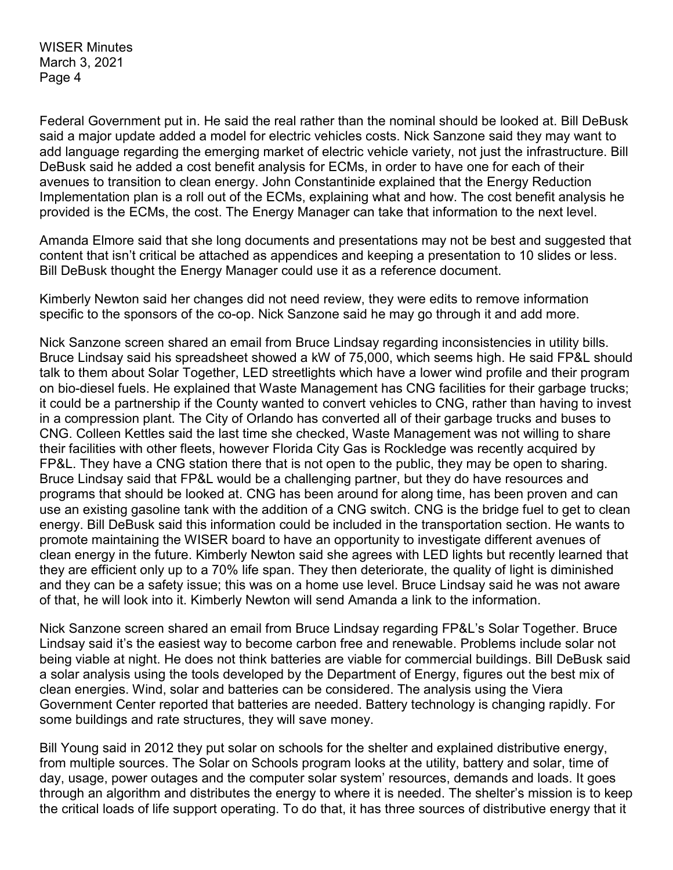Federal Government put in. He said the real rather than the nominal should be looked at. Bill DeBusk said a major update added a model for electric vehicles costs. Nick Sanzone said they may want to add language regarding the emerging market of electric vehicle variety, not just the infrastructure. Bill DeBusk said he added a cost benefit analysis for ECMs, in order to have one for each of their avenues to transition to clean energy. John Constantinide explained that the Energy Reduction Implementation plan is a roll out of the ECMs, explaining what and how. The cost benefit analysis he provided is the ECMs, the cost. The Energy Manager can take that information to the next level.

Amanda Elmore said that she long documents and presentations may not be best and suggested that content that isn't critical be attached as appendices and keeping a presentation to 10 slides or less. Bill DeBusk thought the Energy Manager could use it as a reference document.

Kimberly Newton said her changes did not need review, they were edits to remove information specific to the sponsors of the co-op. Nick Sanzone said he may go through it and add more.

Nick Sanzone screen shared an email from Bruce Lindsay regarding inconsistencies in utility bills. Bruce Lindsay said his spreadsheet showed a kW of 75,000, which seems high. He said FP&L should talk to them about Solar Together, LED streetlights which have a lower wind profile and their program on bio-diesel fuels. He explained that Waste Management has CNG facilities for their garbage trucks; it could be a partnership if the County wanted to convert vehicles to CNG, rather than having to invest in a compression plant. The City of Orlando has converted all of their garbage trucks and buses to CNG. Colleen Kettles said the last time she checked, Waste Management was not willing to share their facilities with other fleets, however Florida City Gas is Rockledge was recently acquired by FP&L. They have a CNG station there that is not open to the public, they may be open to sharing. Bruce Lindsay said that FP&L would be a challenging partner, but they do have resources and programs that should be looked at. CNG has been around for along time, has been proven and can use an existing gasoline tank with the addition of a CNG switch. CNG is the bridge fuel to get to clean energy. Bill DeBusk said this information could be included in the transportation section. He wants to promote maintaining the WISER board to have an opportunity to investigate different avenues of clean energy in the future. Kimberly Newton said she agrees with LED lights but recently learned that they are efficient only up to a 70% life span. They then deteriorate, the quality of light is diminished and they can be a safety issue; this was on a home use level. Bruce Lindsay said he was not aware of that, he will look into it. Kimberly Newton will send Amanda a link to the information.

Nick Sanzone screen shared an email from Bruce Lindsay regarding FP&L's Solar Together. Bruce Lindsay said it's the easiest way to become carbon free and renewable. Problems include solar not being viable at night. He does not think batteries are viable for commercial buildings. Bill DeBusk said a solar analysis using the tools developed by the Department of Energy, figures out the best mix of clean energies. Wind, solar and batteries can be considered. The analysis using the Viera Government Center reported that batteries are needed. Battery technology is changing rapidly. For some buildings and rate structures, they will save money.

Bill Young said in 2012 they put solar on schools for the shelter and explained distributive energy, from multiple sources. The Solar on Schools program looks at the utility, battery and solar, time of day, usage, power outages and the computer solar system' resources, demands and loads. It goes through an algorithm and distributes the energy to where it is needed. The shelter's mission is to keep the critical loads of life support operating. To do that, it has three sources of distributive energy that it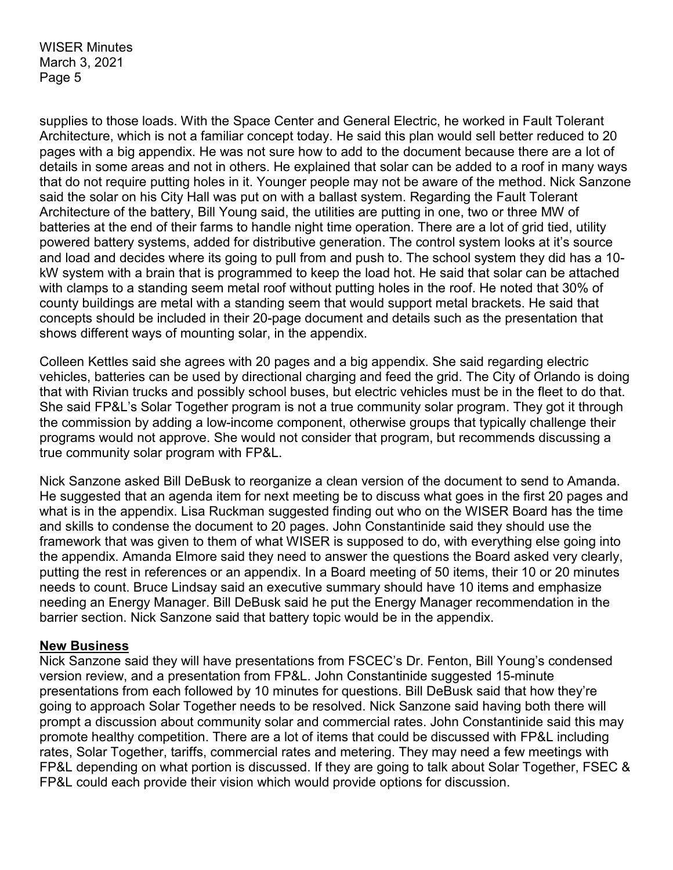supplies to those loads. With the Space Center and General Electric, he worked in Fault Tolerant Architecture, which is not a familiar concept today. He said this plan would sell better reduced to 20 pages with a big appendix. He was not sure how to add to the document because there are a lot of details in some areas and not in others. He explained that solar can be added to a roof in many ways that do not require putting holes in it. Younger people may not be aware of the method. Nick Sanzone said the solar on his City Hall was put on with a ballast system. Regarding the Fault Tolerant Architecture of the battery, Bill Young said, the utilities are putting in one, two or three MW of batteries at the end of their farms to handle night time operation. There are a lot of grid tied, utility powered battery systems, added for distributive generation. The control system looks at it's source and load and decides where its going to pull from and push to. The school system they did has a 10 kW system with a brain that is programmed to keep the load hot. He said that solar can be attached with clamps to a standing seem metal roof without putting holes in the roof. He noted that 30% of county buildings are metal with a standing seem that would support metal brackets. He said that concepts should be included in their 20-page document and details such as the presentation that shows different ways of mounting solar, in the appendix.

Colleen Kettles said she agrees with 20 pages and a big appendix. She said regarding electric vehicles, batteries can be used by directional charging and feed the grid. The City of Orlando is doing that with Rivian trucks and possibly school buses, but electric vehicles must be in the fleet to do that. She said FP&L's Solar Together program is not a true community solar program. They got it through the commission by adding a low-income component, otherwise groups that typically challenge their programs would not approve. She would not consider that program, but recommends discussing a true community solar program with FP&L.

Nick Sanzone asked Bill DeBusk to reorganize a clean version of the document to send to Amanda. He suggested that an agenda item for next meeting be to discuss what goes in the first 20 pages and what is in the appendix. Lisa Ruckman suggested finding out who on the WISER Board has the time and skills to condense the document to 20 pages. John Constantinide said they should use the framework that was given to them of what WISER is supposed to do, with everything else going into the appendix. Amanda Elmore said they need to answer the questions the Board asked very clearly, putting the rest in references or an appendix. In a Board meeting of 50 items, their 10 or 20 minutes needs to count. Bruce Lindsay said an executive summary should have 10 items and emphasize needing an Energy Manager. Bill DeBusk said he put the Energy Manager recommendation in the barrier section. Nick Sanzone said that battery topic would be in the appendix.

#### **New Business**

Nick Sanzone said they will have presentations from FSCEC's Dr. Fenton, Bill Young's condensed version review, and a presentation from FP&L. John Constantinide suggested 15-minute presentations from each followed by 10 minutes for questions. Bill DeBusk said that how they're going to approach Solar Together needs to be resolved. Nick Sanzone said having both there will prompt a discussion about community solar and commercial rates. John Constantinide said this may promote healthy competition. There are a lot of items that could be discussed with FP&L including rates, Solar Together, tariffs, commercial rates and metering. They may need a few meetings with FP&L depending on what portion is discussed. If they are going to talk about Solar Together, FSEC & FP&L could each provide their vision which would provide options for discussion.